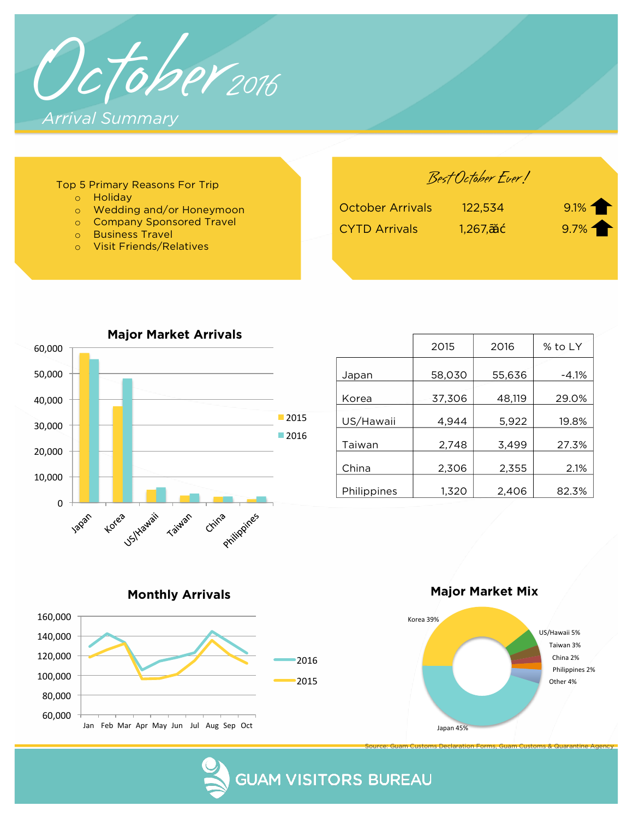

| Top 5 Primary Reasons For Trip                                                                                                     |                                                 | Best October Ever! |                      |
|------------------------------------------------------------------------------------------------------------------------------------|-------------------------------------------------|--------------------|----------------------|
| Holidav<br>Wedding and/or Honeymoon<br><b>Company Sponsored Travel</b><br><b>Business Travel</b><br><b>Visit Friends/Relatives</b> | <b>October Arrivals</b><br><b>CYTD Arrivals</b> | 122,534<br>1,267,  | $9.1\%$<br>$9.7\%$ 1 |



|             | 2015   | 2016   | % to LY |  |  |
|-------------|--------|--------|---------|--|--|
| Japan       | 58,030 | 55,636 | $-4.1%$ |  |  |
| Korea       | 37,306 | 48,119 | 29.0%   |  |  |
| US/Hawaii   | 4,944  | 5,922  | 19.8%   |  |  |
| Taiwan      | 2,748  | 3,499  | 27.3%   |  |  |
| China       | 2,306  | 2,355  | 2.1%    |  |  |
| Philippines | 1,320  | 2,406  | 82.3%   |  |  |



**Monthly Arrivals** Monthly Arrivals



Source: Guam Customs Declaration Forms, Guam Customs & Quarantine Agency

**GUAM VISITORS BUREAU**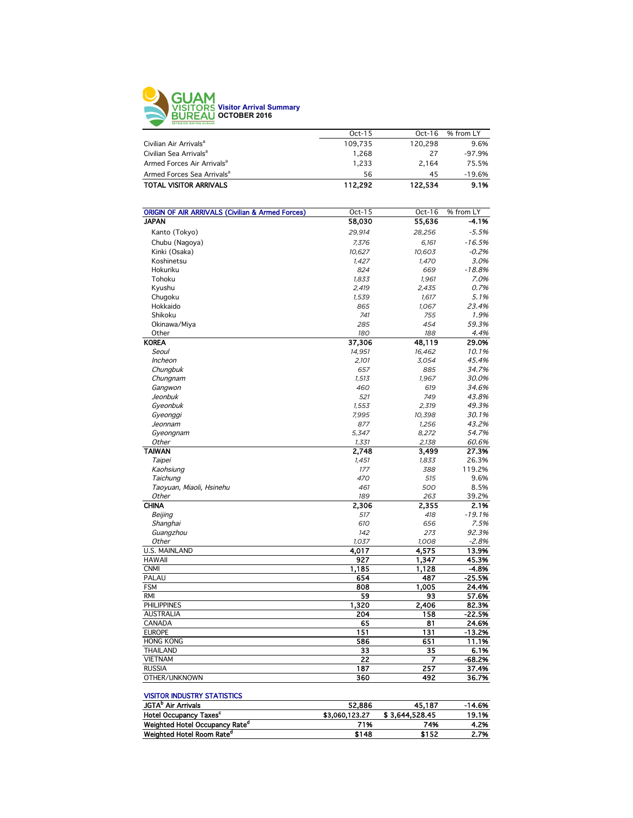

| $Oct-15$<br>% from LY<br>$Oct-16$<br>Civilian Air Arrivals <sup>a</sup><br>120.298<br>109.735<br>Civilian Sea Arrivals <sup>a</sup><br>1.268<br>27<br>Armed Forces Air Arrivals <sup>a</sup><br>1.233<br>2.164<br>Armed Forces Sea Arrivals <sup>a</sup><br>56<br>45<br><b>TOTAL VISITOR ARRIVALS</b><br>112.292<br>122.534 |  |          |
|-----------------------------------------------------------------------------------------------------------------------------------------------------------------------------------------------------------------------------------------------------------------------------------------------------------------------------|--|----------|
|                                                                                                                                                                                                                                                                                                                             |  |          |
|                                                                                                                                                                                                                                                                                                                             |  | 9.6%     |
|                                                                                                                                                                                                                                                                                                                             |  | $-97.9%$ |
|                                                                                                                                                                                                                                                                                                                             |  | 75.5%    |
|                                                                                                                                                                                                                                                                                                                             |  | $-19.6%$ |
|                                                                                                                                                                                                                                                                                                                             |  | 9.1%     |

| <b>ORIGIN OF AIR ARRIVALS (Civilian &amp; Armed Forces)</b> | Oct-15          | Oct- $16$ | % from LY |
|-------------------------------------------------------------|-----------------|-----------|-----------|
| <b>JAPAN</b>                                                | 58,030          | 55,636    | $-4.1%$   |
| Kanto (Tokyo)                                               | 29,914          | 28,256    | $-5.5%$   |
| Chubu (Nagoya)                                              | 7,376           | 6,161     | $-16.5%$  |
| Kinki (Osaka)                                               | 10.627          | 10.603    | $-0.2%$   |
| Koshinetsu                                                  | 1,427           | 1.470     | 3.0%      |
| Hokuriku                                                    | 824             | 669       | $-18.8%$  |
| Tohoku                                                      | 1,833           | 1,961     | 7.0%      |
| Kyushu                                                      | 2,419           | 2,435     | 0.7%      |
| Chugoku                                                     | 1,539           | 1,617     | 5.1%      |
| Hokkaido                                                    | 865             | 1,067     | 23.4%     |
| Shikoku                                                     | 741             | 755       | 1.9%      |
| Okinawa/Miya                                                | 285             | 454       | 59.3%     |
| Other                                                       | 180             | 188       | 4.4%      |
| <b>KOREA</b>                                                | 37,306          | 48,119    | 29.0%     |
| Seoul                                                       | 14,951          | 16,462    | 10.1%     |
| Incheon                                                     | 2,101           | 3,054     | 45.4%     |
| Chungbuk                                                    | 657             | 885       | 34.7%     |
| Chungnam                                                    | 1,513           | 1,967     | 30.0%     |
| Gangwon                                                     | 460             | 619       | 34.6%     |
| Jeonbuk                                                     | 521             | 749       | 43.8%     |
| Gyeonbuk                                                    | 1,553           | 2,319     | 49.3%     |
| Gyeonggi                                                    | 7,995           | 10,398    | 30.1%     |
| Jeonnam                                                     | 877             | 1,256     | 43.2%     |
| Gyeongnam                                                   | 5,347           | 8,272     | 54.7%     |
| Other                                                       | 1,331           | 2,138     | 60.6%     |
| <b>TAIWAN</b>                                               | 2,748           | 3,499     | 27.3%     |
| Taipei                                                      | 1.451           | 1.833     | 26.3%     |
| Kaohsiung                                                   | 177             | 388       | 119.2%    |
| Taichung                                                    | 470             | 515       | 9.6%      |
| Taoyuan, Miaoli, Hsinehu                                    | 461             | 500       | 8.5%      |
| Other                                                       | 189             | 263       | 39.2%     |
| <b>CHINA</b>                                                | 2,306           | 2,355     | 2.1%      |
| Beijing                                                     | 517             | 418       | $-19.1%$  |
| Shanghai                                                    | 610             | 656       | 7.5%      |
| Guangzhou                                                   | 142             | 273       | 92.3%     |
| Other                                                       | 1,037           | 1,008     | $-2.8%$   |
| U.S. MAINLAND                                               | 4,017           | 4,575     | 13.9%     |
| <b>HAWAII</b>                                               | 927             | 1,347     | 45.3%     |
| <b>CNMI</b>                                                 | 1,185           | 1,128     | $-4.8%$   |
| PALAU                                                       | 654             | 487       | $-25.5%$  |
| <b>FSM</b>                                                  | 808             | 1.005     | 24.4%     |
| <b>RMI</b>                                                  | 59              | 93        | 57.6%     |
| <b>PHILIPPINES</b>                                          | 1,320           | 2,406     | 82.3%     |
| <b>AUSTRALIA</b>                                            | 204             | 158       | $-22.5%$  |
| CANADA                                                      | 65              | 81        | 24.6%     |
| <b>EUROPE</b>                                               | 151             | 131       | $-13.2%$  |
| <b>HONG KONG</b>                                            | 586             | 651       | 11.1%     |
| <b>THAILAND</b>                                             | 33              | 35        | 6.1%      |
| <b>VIETNAM</b>                                              | $\overline{22}$ | 7         | $-68.2%$  |
| <b>RUSSIA</b>                                               | 187             | 257       | 37.4%     |
| OTHER/UNKNOWN                                               | 360             | 492       | 36.7%     |
|                                                             |                 |           |           |

| <b>VISITOR INDUSTRY STATISTICS</b> |                |
|------------------------------------|----------------|
| JGTA <sup>D</sup> Air Arrivals     | 52.886         |
| Hotel Occupancy Taxes <sup>c</sup> | \$3,060,123.27 |

| <b>JGTA</b> Air Arrivals                   | 52.886         | 45.187         | $-14.6%$ |
|--------------------------------------------|----------------|----------------|----------|
| <b>Hotel Occupancy Taxes<sup>c</sup></b>   | \$3,060,123,27 | \$3.644.528.45 | 19.1%    |
| Weighted Hotel Occupancy Rate <sup>d</sup> | 71%            | 74%            | 4.2%     |
| Weighted Hotel Room Rate <sup>d</sup>      | \$148          | \$152          | 2.7%     |
|                                            |                |                |          |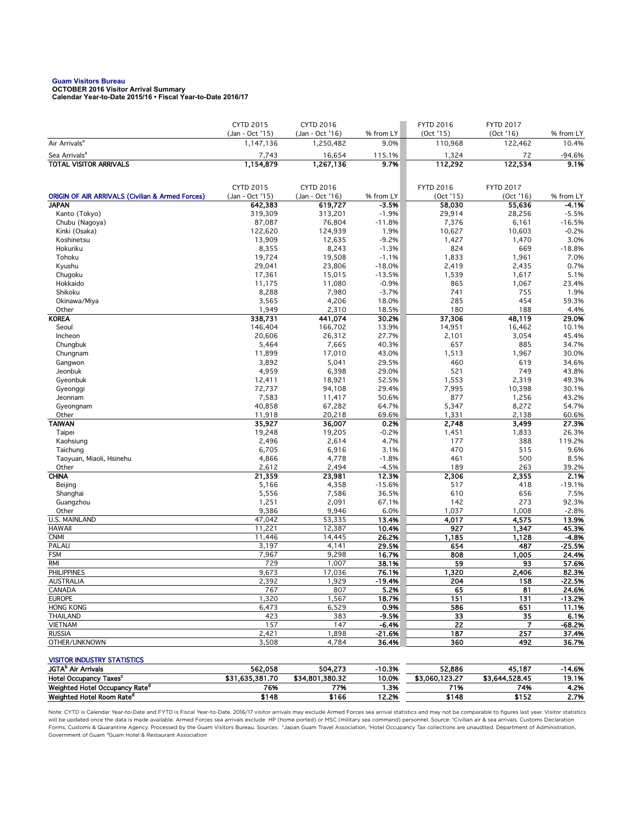## **Guam Visitors Bureau OCTOBER 2016 Visitor Arrival Summary**

**Calendar Year-to-Date 2015/16 • Fiscal Year-to-Date 2016/17** 

|                                                                                     | <b>CYTD 2015</b>             | <b>CYTD 2016</b>             |                      | <b>FYTD 2016</b>   | <b>FYTD 2017</b>   |                    |
|-------------------------------------------------------------------------------------|------------------------------|------------------------------|----------------------|--------------------|--------------------|--------------------|
| Air Arrivals <sup>a</sup>                                                           | (Jan - Oct '15)<br>1,147,136 | (Jan - Oct '16)<br>1,250,482 | % from LY            | (Oct 15)           | (Oct '16)          | % from LY<br>10.4% |
|                                                                                     |                              |                              | 9.0%                 | 110,968            | 122,462            |                    |
| Sea Arrivals <sup>a</sup>                                                           | 7,743                        | 16,654                       | 115.1%               | 1,324              | 72                 | $-94.6%$           |
| <b>TOTAL VISITOR ARRIVALS</b>                                                       | 1,154,879                    | 1,267,136                    | 9.7%                 | 112,292            | 122,534            | 9.1%               |
|                                                                                     |                              |                              |                      |                    |                    |                    |
|                                                                                     | <b>CYTD 2015</b>             | <b>CYTD 2016</b>             |                      | <b>FYTD 2016</b>   | <b>FYTD 2017</b>   |                    |
| <b>ORIGIN OF AIR ARRIVALS (Civilian &amp; Armed Forces)</b><br><b>JAPAN</b>         | (Jan - Oct '15)<br>642,383   | (Jan - Oct '16)<br>619,727   | % from LY<br>$-3.5%$ | (Oct 15)<br>58,030 | (Oct 16)<br>55,636 | % from LY<br>-4.1% |
| Kanto (Tokyo)                                                                       | 319,309                      | 313,201                      | $-1.9%$              | 29,914             | 28,256             | $-5.5%$            |
| Chubu (Nagoya)                                                                      | 87,087                       | 76,804                       | $-11.8%$             | 7,376              | 6,161              | $-16.5%$           |
| Kinki (Osaka)                                                                       | 122,620                      | 124,939                      | 1.9%                 | 10,627             | 10,603             | $-0.2%$            |
| Koshinetsu                                                                          | 13,909                       | 12,635                       | $-9.2%$              | 1,427              | 1,470              | 3.0%               |
| Hokuriku                                                                            | 8,355                        | 8,243                        | $-1.3%$              | 824                | 669                | $-18.8%$           |
| Tohoku                                                                              | 19,724                       | 19,508                       | $-1.1%$              | 1,833              | 1,961              | 7.0%               |
| Kyushu                                                                              | 29,041                       | 23,806                       | $-18.0%$             | 2,419              | 2,435              | 0.7%               |
| Chugoku                                                                             | 17,361                       | 15,015                       | $-13.5%$             | 1,539              | 1,617              | 5.1%               |
| Hokkaido                                                                            | 11,175                       | 11,080                       | $-0.9%$              | 865                | 1,067              | 23.4%              |
| Shikoku                                                                             | 8,288                        | 7,980                        | $-3.7%$              | 741                | 755                | 1.9%               |
| Okinawa/Miya                                                                        | 3,565                        | 4,206                        | 18.0%                | 285                | 454                | 59.3%              |
| Other                                                                               | 1,949                        | 2,310                        | 18.5%                | 180                | 188                | 4.4%               |
| <b>KOREA</b>                                                                        | 338,731                      | 441,074                      | 30.2%                | 37,306             | 48,119             | 29.0%              |
| Seoul<br>Incheon                                                                    | 146,404<br>20,606            | 166,702<br>26,312            | 13.9%<br>27.7%       | 14,951<br>2,101    | 16,462<br>3,054    | 10.1%<br>45.4%     |
| Chungbuk                                                                            | 5,464                        | 7,665                        | 40.3%                | 657                | 885                | 34.7%              |
| Chungnam                                                                            | 11,899                       | 17,010                       | 43.0%                | 1,513              | 1,967              | 30.0%              |
| Gangwon                                                                             | 3,892                        | 5,041                        | 29.5%                | 460                | 619                | 34.6%              |
| Jeonbuk                                                                             | 4,959                        | 6,398                        | 29.0%                | 521                | 749                | 43.8%              |
| Gyeonbuk                                                                            | 12,411                       | 18,921                       | 52.5%                | 1,553              | 2,319              | 49.3%              |
| Gyeonggi                                                                            | 72,737                       | 94,108                       | 29.4%                | 7,995              | 10,398             | 30.1%              |
| Jeonnam                                                                             | 7,583                        | 11,417                       | 50.6%                | 877                | 1,256              | 43.2%              |
| Gyeongnam                                                                           | 40,858                       | 67,282                       | 64.7%                | 5,347              | 8,272              | 54.7%              |
| Other                                                                               | 11,918                       | 20,218                       | 69.6%                | 1,331              | 2,138              | 60.6%              |
| <b>TAIWAN</b>                                                                       | 35,927                       | 36,007                       | 0.2%                 | 2,748              | 3,499              | 27.3%              |
| Taipei                                                                              | 19,248                       | 19,205                       | $-0.2%$              | 1,451              | 1,833              | 26.3%              |
| Kaohsiung                                                                           | 2,496                        | 2,614                        | 4.7%                 | 177                | 388                | 119.2%             |
| Taichung                                                                            | 6,705                        | 6,916                        | 3.1%                 | 470                | 515                | 9.6%               |
| Taoyuan, Miaoli, Hsinehu<br>Other                                                   | 4,866<br>2,612               | 4,778<br>2,494               | $-1.8%$<br>$-4.5%$   | 461<br>189         | 500<br>263         | 8.5%<br>39.2%      |
| <b>CHINA</b>                                                                        | 21,359                       | 23,981                       | 12.3%                | 2,306              | 2,355              | 2.1%               |
| Beijing                                                                             | 5,166                        | 4,358                        | $-15.6%$             | 517                | 418                | $-19.1%$           |
| Shanghai                                                                            | 5,556                        | 7,586                        | 36.5%                | 610                | 656                | 7.5%               |
| Guangzhou                                                                           | 1,251                        | 2,091                        | 67.1%                | 142                | 273                | 92.3%              |
| Other                                                                               | 9,386                        | 9,946                        | 6.0%                 | 1,037              | 1,008              | $-2.8%$            |
| <b>U.S. MAINLAND</b>                                                                | 47,042                       | 53,335                       | 13.4%                | 4,017              | 4,575              | 13.9%              |
| <b>HAWAII</b>                                                                       | 11,221                       | 12,387                       | 10.4%                | 927                | 1,347              | 45.3%              |
| <b>CNMI</b>                                                                         | 11,446                       | 14,445                       | 26.2%                | 1,185              | 1,128              | $-4.8%$            |
| PALAU                                                                               | 3,197                        | 4,141                        | 29.5%                | 654                | 487                | $-25.5%$           |
| <b>FSM</b>                                                                          | 7,967                        | 9,298                        | 16.7%                | 808                | 1,005              | 24.4%              |
| <b>RMI</b>                                                                          | 729                          | 1,007                        | 38.1%                | 59                 | 93                 | 57.6%              |
| <b>PHILIPPINES</b>                                                                  | 9,673                        | 17,036                       | 76.1%                | 1,320              | 2,406              | 82.3%              |
| <b>AUSTRALIA</b><br>CANADA                                                          | 2,392<br>767                 | 1,929<br>807                 | $-19.4%$<br>5.2%     | 204<br>65          | 158<br>81          | -22.5%<br>24.6%    |
| <b>EUROPE</b>                                                                       | 1,320                        | 1,567                        | 18.7%                | 151                | 131                | $-13.2%$           |
| <b>HONG KONG</b>                                                                    | 6,473                        | 6,529                        | 0.9%                 | 586                | 651                | 11.1%              |
| <b>THAILAND</b>                                                                     | 423                          | 383                          | $-9.5%$              | 33                 | 35                 | 6.1%               |
| <b>VIETNAM</b>                                                                      | 157                          | 147                          | $-6.4%$              | $\overline{22}$    | $\overline{7}$     | $-68.2%$           |
| <b>RUSSIA</b>                                                                       | 2,421                        | 1,898                        | $-21.6%$             | 187                | 257                | 37.4%              |
| OTHER/UNKNOWN                                                                       | 3,508                        | 4,784                        | 36.4%                | 360                | 492                | 36.7%              |
|                                                                                     |                              |                              |                      |                    |                    |                    |
| <b>VISITOR INDUSTRY STATISTICS</b>                                                  |                              |                              |                      |                    |                    |                    |
| JGTA <sup>b</sup> Air Arrivals                                                      | 562,058                      | 504,273                      | $-10.3%$             | 52,886             | 45,187             | $-14.6%$           |
| Hotel Occupancy Taxes <sup>c</sup>                                                  | \$31,635,381.70              | \$34,801,380.32              | 10.0%                | \$3,060,123.27     | \$3,644,528.45     | 19.1%              |
| Weighted Hotel Occupancy Rate <sup>d</sup><br>Weighted Hotel Room Rate <sup>d</sup> | 76%<br>\$148                 | 77%<br>\$166                 | 1.3%<br>12.2%        | 71%<br>\$148       | 74%<br>\$152       | 4.2%<br>2.7%       |
|                                                                                     |                              |                              |                      |                    |                    |                    |

Note: CYTD is Calendar Year-to-Date and FYTD is Fiscal Year-to-Date. 2016/17 visitor arrivals may exclude Armed Forces sea arrival statistics and may not be comparable to figures last year. Visitor statistics will be updated once the data is made available. Armed Forces sea arrivals exclude HP (home ported) or MSC (military sea command) personnel. Source: °Civilian air & sea arrivals. Customs Declaration<br>Forms, Customs & Quaran Government of Guam dGuam Hotel & Restaurant Association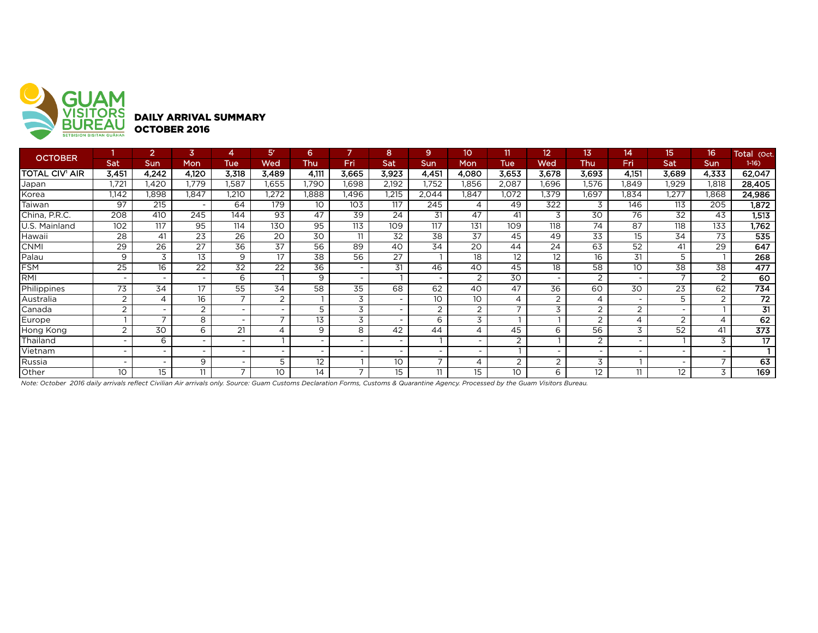

| <b>OCTOBER</b>        |                          |                          | 3                        |                          | 51                       | 6                        |       | 8     | 9                        | 10                       | 11              | 12                       | 13                       | 14                       | 15                       | 16 <sup>1</sup> | Total (Oct.     |
|-----------------------|--------------------------|--------------------------|--------------------------|--------------------------|--------------------------|--------------------------|-------|-------|--------------------------|--------------------------|-----------------|--------------------------|--------------------------|--------------------------|--------------------------|-----------------|-----------------|
|                       | Sat                      | Sun                      | Mon                      | Tue                      | Wed                      | Thu                      | Fri   | Sat   | <b>Sun</b>               | Mon                      | <b>Tue</b>      | Wed                      | <b>Thu</b>               | Fri                      | Sat                      | <b>Sun</b>      | $1-16$          |
| <b>TOTAL CIV' AIR</b> | 3,451                    | 4,242                    | 4,120                    | 3,318                    | 3,489                    | 4.111                    | 3,665 | 3,923 | 4,451                    | 4,080                    | 3,653           | 3,678                    | 3,693                    | 4,151                    | 3,689                    | 4,333           | 62,047          |
| Japan                 | 1.721                    | .420                     | .779                     | .587                     | I.655                    | .790                     | .698  | 2,192 | 1,752                    | l,856                    | 2,087           | .696                     | 1,576                    | .849                     | 1,929                    | 1,818           | 28,405          |
| Korea                 | 1,142                    | 1,898                    | 1.847                    | 1,210                    | 1,272                    | .888                     | .496  | .215  | 2,044                    | 1,847                    | 1,072           | 1,379                    | .697                     | <b>.834</b>              | 1,277                    | 1,868           | 24,986          |
| Taiwan                | 97                       | 215                      | $\overline{\phantom{0}}$ | 64                       | 179                      | 10                       | 103   | 117   | 245                      | 4                        | 49              | 322                      | 3                        | 146                      | 113                      | 205             | 1,872           |
| China, P.R.C.         | 208                      | 410                      | 245                      | 144                      | 93                       | 47                       | 39    | 24    | 31                       | 47                       | 41              | 3                        | 30                       | 76                       | 32                       | 43              | 1,513           |
| U.S. Mainland         | 102                      | 117                      | 95                       | 114                      | 130                      | 95                       | 113   | 109   | 117                      | 131                      | 109             | 118                      | 74                       | 87                       | 118                      | 133             | 1,762           |
| Hawaii                | 28                       | 41                       | 23                       | 26                       | 20                       | 30                       | 11    | 32    | 38                       | 37                       | 45              | 49                       | 33                       | 15                       | 34                       | 73              | 535             |
| <b>CNMI</b>           | $\overline{29}$          | $\overline{26}$          | $\overline{27}$          | $\overline{36}$          | 37                       | 56                       | 89    | 40    | 34                       | $\overline{20}$          | 44              | 24                       | 63                       | $\overline{52}$          | 41                       | $\overline{29}$ | 647             |
| Palau                 | 9                        | 3                        | 13                       | 9                        | 17                       | 38                       | 56    | 27    |                          | 18                       | 12              | 12                       | 16                       | 31                       | 5                        |                 | 268             |
| <b>FSM</b>            | $\overline{25}$          | 16                       | 22                       | $\overline{32}$          | 22                       | $\overline{36}$          |       | 31    | 46                       | 40                       | 45              | 18                       | 58                       | 10                       | 38                       | 38              | 477             |
| <b>IRMI</b>           | $\overline{\phantom{a}}$ | $\overline{\phantom{0}}$ |                          | 6                        |                          | 9                        |       |       |                          | $\overline{2}$           | 30              | $\overline{\phantom{0}}$ | 2                        |                          | $\overline{ }$           | 2               | 60              |
| Philippines           | 73                       | 34                       | 17                       | 55                       | 34                       | 58                       | 35    | 68    | 62                       | 40                       | 47              | 36                       | 60                       | 30                       | 23                       | 62              | 734             |
| Australia             | 2                        | 4                        | 16                       | $\overline{\phantom{0}}$ | 2                        |                          | 3     |       | 10 <sup>°</sup>          | 10                       | 4               | 2                        | 4                        | $\overline{\phantom{0}}$ | 5                        | 2               | 72              |
| Canada                | $\overline{2}$           | $\overline{\phantom{0}}$ | 2                        |                          | $\overline{\phantom{0}}$ |                          | 3     |       | $\overline{2}$           | 2                        |                 | 3                        | 2                        | 2                        |                          |                 | 31              |
| Europe                |                          | $\overline{\phantom{a}}$ | 8                        |                          | $\overline{\phantom{0}}$ | 13                       | 3     |       | 6                        | 3                        |                 |                          | 2                        | 4                        | 2                        | $\overline{4}$  | 62              |
| Hong Kong             | 2                        | 30                       | 6                        | 21                       |                          | 9                        | 8     | 42    | 44                       |                          | 45              | 6                        | 56                       | 3                        | 52                       | 41              | 373             |
| Thailand              | $\overline{\phantom{a}}$ | 6                        | $\overline{\phantom{0}}$ | $\overline{\phantom{0}}$ |                          | $\overline{\phantom{0}}$ |       |       |                          |                          | 2               |                          | 2                        |                          |                          | 3               | $\overline{17}$ |
| Vietnam               | $\overline{\phantom{a}}$ | $\overline{\phantom{a}}$ |                          | $\overline{\phantom{0}}$ |                          | $\overline{\phantom{0}}$ |       |       |                          | $\overline{\phantom{0}}$ |                 |                          | $\overline{\phantom{0}}$ |                          |                          |                 |                 |
| Russia                | $\overline{\phantom{a}}$ | $\overline{\phantom{a}}$ | 9                        | $\overline{\phantom{0}}$ | 5                        | 12                       |       | 10    | $\overline{\phantom{a}}$ | $\overline{4}$           | 2               | 2                        | 3                        |                          | $\overline{\phantom{0}}$ | $\overline{ }$  | 63              |
| Other                 | 10                       | 15                       | 11                       | $\overline{\phantom{0}}$ | 10                       | 14                       |       | 15    | 11                       | 15                       | 10 <sup>°</sup> | 6                        | $12 \,$                  | 11                       | 12                       | 3               | 169             |

*Note: October 2016 daily arrivals reflect Civilian Air arrivals only. Source: Guam Customs Declaration Forms, Customs & Quarantine Agency. Processed by the Guam Visitors Bureau.*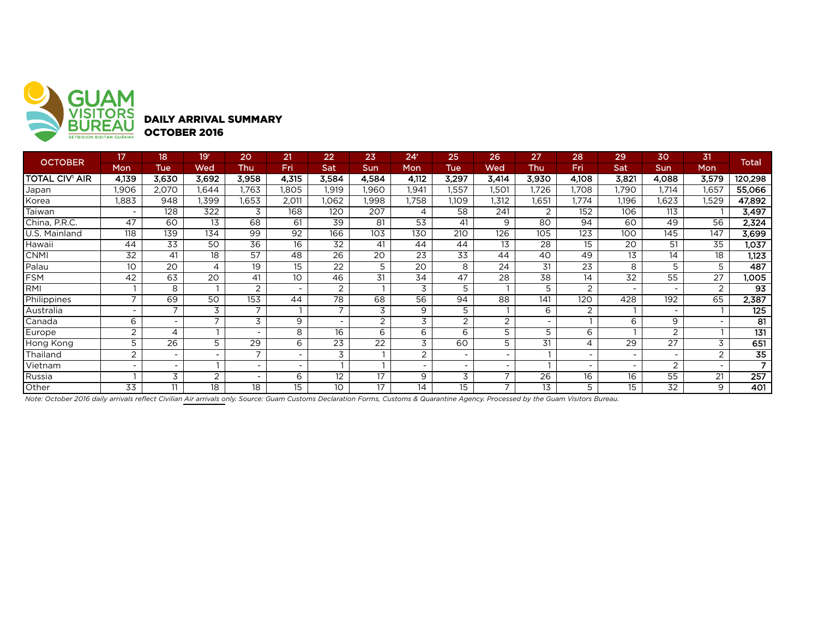

DAILY ARRIVAL SUMMARY OCTOBER 2016

| <b>OCTOBER</b> | 17                       | 18                       | 19'                      | 20                       | 21                       | 22             | 23              | 24 <sup>r</sup> | 25    | 26                       | 27                       | 28                       | 29    | 30    | 31             | Total           |
|----------------|--------------------------|--------------------------|--------------------------|--------------------------|--------------------------|----------------|-----------------|-----------------|-------|--------------------------|--------------------------|--------------------------|-------|-------|----------------|-----------------|
|                | Mon                      | Tue                      | Wed                      | Thu                      | Fri                      | Sat            | Sun             | Mon             | Tue   | Wed                      | Thu                      | Fri                      | Sat   | Sun   | <b>Mon</b>     |                 |
| TOTAL CIV' AIR | 4,139                    | 3,630                    | 3.692                    | 3,958                    | 4,315                    | 3,584          | 4.584           | 4,112           | 3.297 | 3.414                    | 3,930                    | 4,108                    | 3,821 | 4,088 | 3,579          | 120,298         |
| Japan          | 1,906                    | 2,070                    | .644                     | 1,763                    | I,805                    | ,919           | 1,960           | .941            | 1,557 | I,501                    | 1,726                    | ,708                     | 1,790 | .714  | 1,657          | 55,066          |
| Korea          | 1,883                    | 948                      | .399                     | 1,653                    | 2,011                    | .062           | <b>1.998</b>    | .758            | 1.109 | 1,312                    | 1,651                    | 1,774                    | 1,196 | .623  | 1,529          | 47,892          |
| Taiwan         |                          | 128                      | 322                      | 3                        | 168                      | 120            | 207             | 4               | 58    | 241                      | 2                        | 152                      | 106   | 113   |                | 3,497           |
| China, P.R.C.  | 47                       | 60                       | 13                       | 68                       | 61                       | 39             | 81              | 53              | 41    | 9                        | 80                       | 94                       | 60    | 49    | 56             | 2,324           |
| J.S. Mainland  | 118                      | 139                      | 134                      | 99                       | 92                       | 166            | 103             | 130             | 210   | 126                      | 105                      | 123                      | 100   | 145   | 147            | 3,699           |
| Hawaii         | 44                       | 33                       | 50                       | 36                       | 16                       | 32             | 41              | 44              | 44    | 13                       | 28                       | 15                       | 20    | 51    | 35             | 1,037           |
| <b>CNMI</b>    | 32                       | 41                       | 18                       | 57                       | 48                       | 26             | 20              | 23              | 33    | 44                       | 40                       | 49                       | 13    | 14    | 18             | 1,123           |
| Palau          | 10                       | 20                       | 4                        | 19                       | 15                       | 22             | 5               | 20              | 8     | 24                       | 31                       | 23                       | 8     | 5     | 5              | 487             |
| FSM            | 42                       | 63                       | 20                       | 41                       | 10                       | 46             | 31              | 34              | 47    | 28                       | 38                       | 14                       | 32    | 55    | 27             | 1,005           |
| <b>RMI</b>     |                          | 8                        |                          | 2                        | $\overline{\phantom{a}}$ | $\overline{2}$ |                 | 3               | 5     |                          | 5                        | 2                        |       |       | 2              | $\overline{93}$ |
| Philippines    | $\overline{ }$           | 69                       | 50                       | 153                      | 44                       | 78             | 68              | 56              | 94    | 88                       | 141                      | 120                      | 428   | 192   | 65             | 2,387           |
| Australia      |                          |                          | 3                        |                          |                          |                | 3               | 9               | 5     |                          | 6                        | 2                        |       |       |                | 125             |
| Canada         | 6                        |                          |                          | 3                        | 9                        | ۰              | 2               | 3               | 2     | 2                        | $\overline{\phantom{0}}$ |                          | 6     | 9     |                | 81              |
| Europe         | $\overline{2}$           | 4                        |                          | $\overline{\phantom{a}}$ | 8                        | 16             | 6               | 6               | 6     | 5                        | 5                        | 6                        |       | 2     |                | 131             |
| Hong Kong      | 5                        | 26                       | 5                        | 29                       | 6                        | 23             | 22              | 3               | 60    | 5                        | 31                       | 4                        | 29    | 27    | 3              | 651             |
| Thailand       | $\overline{2}$           | $\overline{\phantom{a}}$ | $\overline{\phantom{0}}$ | $\overline{ }$           | $\overline{\phantom{a}}$ | 3              |                 | 2               |       | $\overline{\phantom{0}}$ |                          | $\overline{\phantom{a}}$ | -     |       | $\overline{2}$ | $\overline{35}$ |
| Vietnam        | $\overline{\phantom{0}}$ | $\overline{\phantom{0}}$ |                          | $\overline{\phantom{a}}$ | $\overline{\phantom{a}}$ |                |                 | $\overline{a}$  |       | $\overline{\phantom{0}}$ |                          | $\overline{\phantom{a}}$ |       | 2     |                | $\overline{ }$  |
| Russia         |                          | 3                        | 2                        | $\overline{\phantom{a}}$ | 6                        | 12             | $\overline{17}$ | 9               | 3     | ⇁                        | 26                       | 16                       | 16    | 55    | 21             | 257             |
| Other          | 33                       | 11                       | 18                       | 18                       | 15                       | 10             | 17              | 14              | 15    | $\overline{\phantom{a}}$ | 13                       | 5                        | 15    | 32    | 9              | 401             |

*Note: October 2016 daily arrivals reflect Civilian Air arrivals only. Source: Guam Customs Declaration Forms, Customs & Quarantine Agency. Processed by the Guam Visitors Bureau.*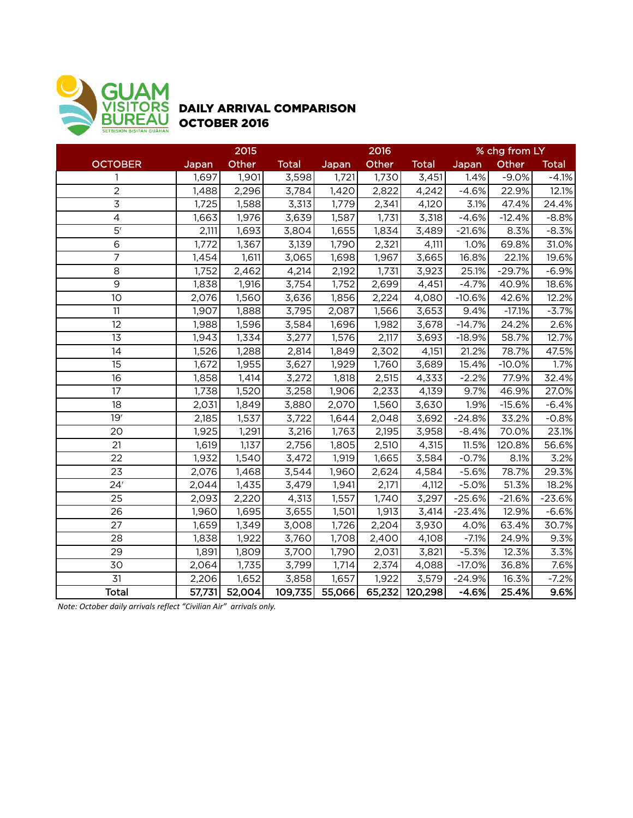

## DAILY ARRIVAL COMPARISON OCTOBER 2016

|                              |        | 2015   |              |        | 2016   |              | % chg from LY |          |              |
|------------------------------|--------|--------|--------------|--------|--------|--------------|---------------|----------|--------------|
| <b>OCTOBER</b>               | Japan  | Other  | <b>Total</b> | Japan  | Other  | <b>Total</b> | Japan         | Other    | <b>Total</b> |
| 1                            | 1,697  | 1,901  | 3,598        | 1,721  | 1,730  | 3,451        | 1.4%          | $-9.0%$  | $-4.1%$      |
| $\mathbf 2$                  | 1,488  | 2,296  | 3,784        | 1,420  | 2,822  | 4,242        | $-4.6%$       | 22.9%    | 12.1%        |
| $\overline{3}$               | 1,725  | 1,588  | 3,313        | 1,779  | 2,341  | 4,120        | 3.1%          | 47.4%    | 24.4%        |
| $\overline{4}$               | 1,663  | 1,976  | 3,639        | 1,587  | 1,731  | 3,318        | $-4.6%$       | $-12.4%$ | $-8.8%$      |
| 5 <sup>r</sup>               | 2,111  | 1,693  | 3,804        | 1,655  | 1,834  | 3,489        | $-21.6%$      | 8.3%     | $-8.3%$      |
| $\,$ 6                       | 1,772  | 1,367  | 3,139        | 1,790  | 2,321  | 4,111        | 1.0%          | 69.8%    | 31.0%        |
| $\overline{7}$               | 1,454  | 1,611  | 3,065        | 1,698  | 1,967  | 3,665        | 16.8%         | 22.1%    | 19.6%        |
| 8                            | 1,752  | 2,462  | 4,214        | 2,192  | 1,731  | 3,923        | 25.1%         | $-29.7%$ | $-6.9%$      |
| $\overline{9}$               | 1,838  | 1,916  | 3,754        | 1,752  | 2,699  | 4,451        | $-4.7%$       | 40.9%    | 18.6%        |
| 10                           | 2,076  | 1,560  | 3,636        | 1,856  | 2,224  | 4,080        | $-10.6%$      | 42.6%    | 12.2%        |
| 11                           | 1,907  | 1,888  | 3,795        | 2,087  | 1,566  | 3,653        | 9.4%          | $-17.1%$ | $-3.7%$      |
| 12                           | 1,988  | 1,596  | 3,584        | 1,696  | 1,982  | 3,678        | $-14.7%$      | 24.2%    | 2.6%         |
| 13                           | 1,943  | 1,334  | 3,277        | 1,576  | 2,117  | 3,693        | $-18.9%$      | 58.7%    | 12.7%        |
| 14                           | 1,526  | 1,288  | 2,814        | 1,849  | 2,302  | 4,151        | 21.2%         | 78.7%    | 47.5%        |
| 15                           | 1,672  | 1,955  | 3,627        | 1,929  | 1,760  | 3,689        | 15.4%         | $-10.0%$ | 1.7%         |
| 16                           | 1,858  | 1,414  | 3,272        | 1,818  | 2,515  | 4,333        | $-2.2%$       | 77.9%    | 32.4%        |
| 17                           | 1,738  | 1,520  | 3,258        | 1,906  | 2,233  | 4,139        | 9.7%          | 46.9%    | 27.0%        |
| 18                           | 2,031  | 1,849  | 3,880        | 2,070  | 1,560  | 3,630        | 1.9%          | $-15.6%$ | $-6.4%$      |
| 19 <sup>r</sup>              | 2,185  | 1,537  | 3,722        | 1,644  | 2,048  | 3,692        | $-24.8%$      | 33.2%    | $-0.8%$      |
| 20                           | 1,925  | 1,291  | 3,216        | 1,763  | 2,195  | 3,958        | $-8.4%$       | 70.0%    | 23.1%        |
| 21                           | 1,619  | 1,137  | 2,756        | 1,805  | 2,510  | 4,315        | 11.5%         | 120.8%   | 56.6%        |
| 22                           | 1,932  | 1,540  | 3,472        | 1,919  | 1,665  | 3,584        | $-0.7%$       | 8.1%     | 3.2%         |
| 23                           | 2,076  | 1,468  | 3,544        | 1,960  | 2,624  | 4,584        | $-5.6%$       | 78.7%    | 29.3%        |
| $\overline{2}4$ <sup>r</sup> | 2,044  | 1,435  | 3,479        | 1,941  | 2,171  | 4,112        | $-5.0%$       | 51.3%    | 18.2%        |
| 25                           | 2,093  | 2,220  | 4,313        | 1,557  | 1,740  | 3,297        | $-25.6%$      | $-21.6%$ | $-23.6%$     |
| 26                           | 1,960  | 1,695  | 3,655        | 1,501  | 1,913  | 3,414        | $-23.4%$      | 12.9%    | $-6.6%$      |
| 27                           | 1,659  | 1,349  | 3,008        | 1,726  | 2,204  | 3,930        | 4.0%          | 63.4%    | 30.7%        |
| 28                           | 1,838  | 1,922  | 3,760        | 1,708  | 2,400  | 4,108        | $-7.1%$       | 24.9%    | 9.3%         |
| 29                           | 1,891  | 1,809  | 3,700        | 1,790  | 2,031  | 3,821        | $-5.3%$       | 12.3%    | 3.3%         |
| 30                           | 2,064  | 1,735  | 3,799        | 1,714  | 2,374  | 4,088        | $-17.0%$      | 36.8%    | 7.6%         |
| 31                           | 2,206  | 1,652  | 3,858        | 1,657  | 1,922  | 3,579        | $-24.9%$      | 16.3%    | $-7.2%$      |
| <b>Total</b>                 | 57,731 | 52,004 | 109,735      | 55,066 | 65,232 | 120,298      | $-4.6%$       | 25.4%    | 9.6%         |

*Note: October daily arrivals reflect "Civilian Air" arrivals only.*